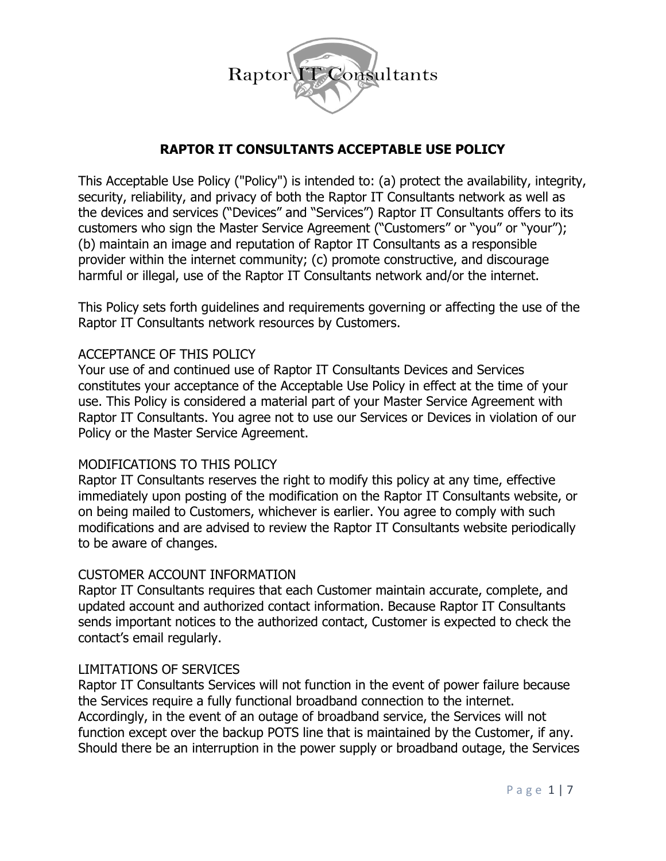

# **RAPTOR IT CONSULTANTS ACCEPTABLE USE POLICY**

This Acceptable Use Policy ("Policy") is intended to: (a) protect the availability, integrity, security, reliability, and privacy of both the Raptor IT Consultants network as well as the devices and services ("Devices" and "Services") Raptor IT Consultants offers to its customers who sign the Master Service Agreement ("Customers" or "you" or "your"); (b) maintain an image and reputation of Raptor IT Consultants as a responsible provider within the internet community; (c) promote constructive, and discourage harmful or illegal, use of the Raptor IT Consultants network and/or the internet.

This Policy sets forth guidelines and requirements governing or affecting the use of the Raptor IT Consultants network resources by Customers.

## ACCEPTANCE OF THIS POLICY

Your use of and continued use of Raptor IT Consultants Devices and Services constitutes your acceptance of the Acceptable Use Policy in effect at the time of your use. This Policy is considered a material part of your Master Service Agreement with Raptor IT Consultants. You agree not to use our Services or Devices in violation of our Policy or the Master Service Agreement.

#### MODIFICATIONS TO THIS POLICY

Raptor IT Consultants reserves the right to modify this policy at any time, effective immediately upon posting of the modification on the Raptor IT Consultants website, or on being mailed to Customers, whichever is earlier. You agree to comply with such modifications and are advised to review the Raptor IT Consultants website periodically to be aware of changes.

#### CUSTOMER ACCOUNT INFORMATION

Raptor IT Consultants requires that each Customer maintain accurate, complete, and updated account and authorized contact information. Because Raptor IT Consultants sends important notices to the authorized contact, Customer is expected to check the contact's email regularly.

#### LIMITATIONS OF SERVICES

Raptor IT Consultants Services will not function in the event of power failure because the Services require a fully functional broadband connection to the internet. Accordingly, in the event of an outage of broadband service, the Services will not function except over the backup POTS line that is maintained by the Customer, if any. Should there be an interruption in the power supply or broadband outage, the Services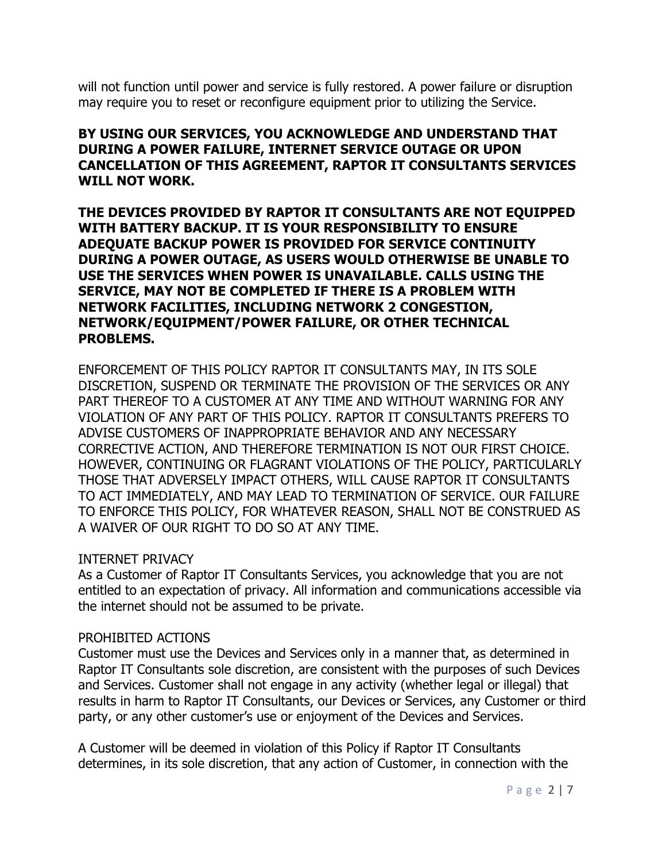will not function until power and service is fully restored. A power failure or disruption may require you to reset or reconfigure equipment prior to utilizing the Service.

## **BY USING OUR SERVICES, YOU ACKNOWLEDGE AND UNDERSTAND THAT DURING A POWER FAILURE, INTERNET SERVICE OUTAGE OR UPON CANCELLATION OF THIS AGREEMENT, RAPTOR IT CONSULTANTS SERVICES WILL NOT WORK.**

**THE DEVICES PROVIDED BY RAPTOR IT CONSULTANTS ARE NOT EQUIPPED WITH BATTERY BACKUP. IT IS YOUR RESPONSIBILITY TO ENSURE ADEQUATE BACKUP POWER IS PROVIDED FOR SERVICE CONTINUITY DURING A POWER OUTAGE, AS USERS WOULD OTHERWISE BE UNABLE TO USE THE SERVICES WHEN POWER IS UNAVAILABLE. CALLS USING THE SERVICE, MAY NOT BE COMPLETED IF THERE IS A PROBLEM WITH NETWORK FACILITIES, INCLUDING NETWORK 2 CONGESTION, NETWORK/EQUIPMENT/POWER FAILURE, OR OTHER TECHNICAL PROBLEMS.** 

ENFORCEMENT OF THIS POLICY RAPTOR IT CONSULTANTS MAY, IN ITS SOLE DISCRETION, SUSPEND OR TERMINATE THE PROVISION OF THE SERVICES OR ANY PART THEREOF TO A CUSTOMER AT ANY TIME AND WITHOUT WARNING FOR ANY VIOLATION OF ANY PART OF THIS POLICY. RAPTOR IT CONSULTANTS PREFERS TO ADVISE CUSTOMERS OF INAPPROPRIATE BEHAVIOR AND ANY NECESSARY CORRECTIVE ACTION, AND THEREFORE TERMINATION IS NOT OUR FIRST CHOICE. HOWEVER, CONTINUING OR FLAGRANT VIOLATIONS OF THE POLICY, PARTICULARLY THOSE THAT ADVERSELY IMPACT OTHERS, WILL CAUSE RAPTOR IT CONSULTANTS TO ACT IMMEDIATELY, AND MAY LEAD TO TERMINATION OF SERVICE. OUR FAILURE TO ENFORCE THIS POLICY, FOR WHATEVER REASON, SHALL NOT BE CONSTRUED AS A WAIVER OF OUR RIGHT TO DO SO AT ANY TIME.

#### INTERNET PRIVACY

As a Customer of Raptor IT Consultants Services, you acknowledge that you are not entitled to an expectation of privacy. All information and communications accessible via the internet should not be assumed to be private.

#### PROHIBITED ACTIONS

Customer must use the Devices and Services only in a manner that, as determined in Raptor IT Consultants sole discretion, are consistent with the purposes of such Devices and Services. Customer shall not engage in any activity (whether legal or illegal) that results in harm to Raptor IT Consultants, our Devices or Services, any Customer or third party, or any other customer's use or enjoyment of the Devices and Services.

A Customer will be deemed in violation of this Policy if Raptor IT Consultants determines, in its sole discretion, that any action of Customer, in connection with the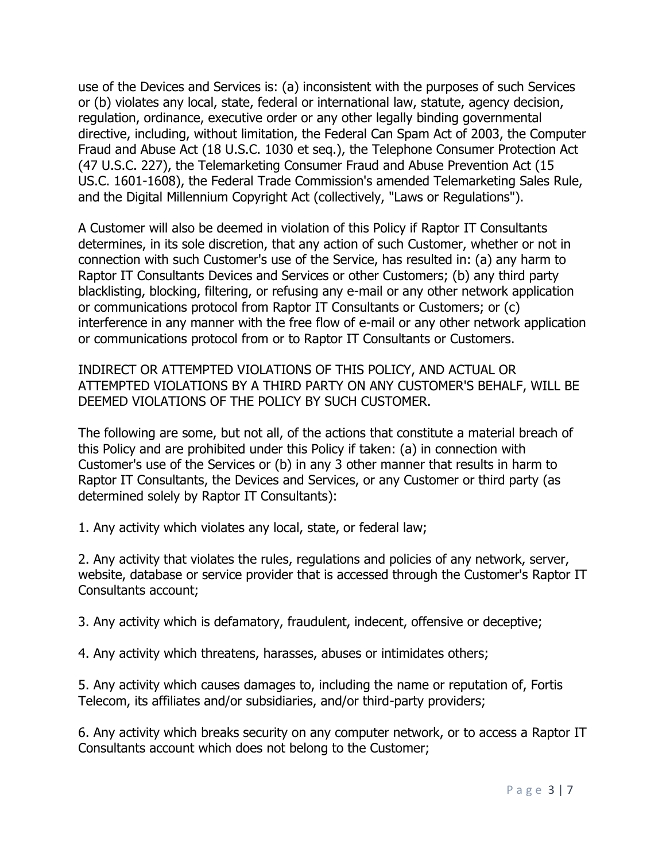use of the Devices and Services is: (a) inconsistent with the purposes of such Services or (b) violates any local, state, federal or international law, statute, agency decision, regulation, ordinance, executive order or any other legally binding governmental directive, including, without limitation, the Federal Can Spam Act of 2003, the Computer Fraud and Abuse Act (18 U.S.C. 1030 et seq.), the Telephone Consumer Protection Act (47 U.S.C. 227), the Telemarketing Consumer Fraud and Abuse Prevention Act (15 US.C. 1601-1608), the Federal Trade Commission's amended Telemarketing Sales Rule, and the Digital Millennium Copyright Act (collectively, "Laws or Regulations").

A Customer will also be deemed in violation of this Policy if Raptor IT Consultants determines, in its sole discretion, that any action of such Customer, whether or not in connection with such Customer's use of the Service, has resulted in: (a) any harm to Raptor IT Consultants Devices and Services or other Customers; (b) any third party blacklisting, blocking, filtering, or refusing any e-mail or any other network application or communications protocol from Raptor IT Consultants or Customers; or (c) interference in any manner with the free flow of e-mail or any other network application or communications protocol from or to Raptor IT Consultants or Customers.

INDIRECT OR ATTEMPTED VIOLATIONS OF THIS POLICY, AND ACTUAL OR ATTEMPTED VIOLATIONS BY A THIRD PARTY ON ANY CUSTOMER'S BEHALF, WILL BE DEEMED VIOLATIONS OF THE POLICY BY SUCH CUSTOMER.

The following are some, but not all, of the actions that constitute a material breach of this Policy and are prohibited under this Policy if taken: (a) in connection with Customer's use of the Services or (b) in any 3 other manner that results in harm to Raptor IT Consultants, the Devices and Services, or any Customer or third party (as determined solely by Raptor IT Consultants):

1. Any activity which violates any local, state, or federal law;

2. Any activity that violates the rules, regulations and policies of any network, server, website, database or service provider that is accessed through the Customer's Raptor IT Consultants account;

3. Any activity which is defamatory, fraudulent, indecent, offensive or deceptive;

4. Any activity which threatens, harasses, abuses or intimidates others;

5. Any activity which causes damages to, including the name or reputation of, Fortis Telecom, its affiliates and/or subsidiaries, and/or third-party providers;

6. Any activity which breaks security on any computer network, or to access a Raptor IT Consultants account which does not belong to the Customer;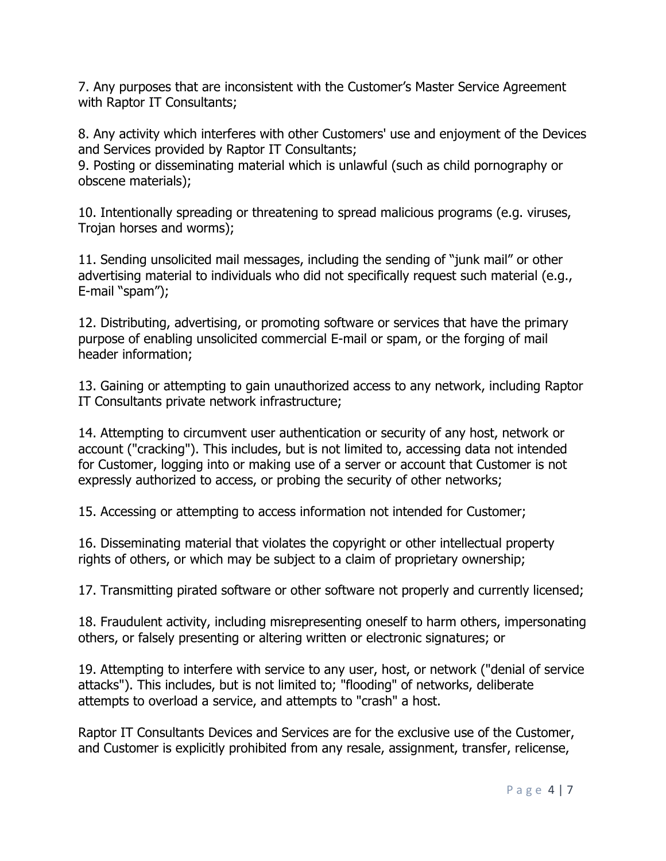7. Any purposes that are inconsistent with the Customer's Master Service Agreement with Raptor IT Consultants;

8. Any activity which interferes with other Customers' use and enjoyment of the Devices and Services provided by Raptor IT Consultants;

9. Posting or disseminating material which is unlawful (such as child pornography or obscene materials);

10. Intentionally spreading or threatening to spread malicious programs (e.g. viruses, Trojan horses and worms);

11. Sending unsolicited mail messages, including the sending of "junk mail" or other advertising material to individuals who did not specifically request such material (e.g., E-mail "spam");

12. Distributing, advertising, or promoting software or services that have the primary purpose of enabling unsolicited commercial E-mail or spam, or the forging of mail header information;

13. Gaining or attempting to gain unauthorized access to any network, including Raptor IT Consultants private network infrastructure;

14. Attempting to circumvent user authentication or security of any host, network or account ("cracking"). This includes, but is not limited to, accessing data not intended for Customer, logging into or making use of a server or account that Customer is not expressly authorized to access, or probing the security of other networks;

15. Accessing or attempting to access information not intended for Customer;

16. Disseminating material that violates the copyright or other intellectual property rights of others, or which may be subject to a claim of proprietary ownership;

17. Transmitting pirated software or other software not properly and currently licensed;

18. Fraudulent activity, including misrepresenting oneself to harm others, impersonating others, or falsely presenting or altering written or electronic signatures; or

19. Attempting to interfere with service to any user, host, or network ("denial of service attacks"). This includes, but is not limited to; "flooding" of networks, deliberate attempts to overload a service, and attempts to "crash" a host.

Raptor IT Consultants Devices and Services are for the exclusive use of the Customer, and Customer is explicitly prohibited from any resale, assignment, transfer, relicense,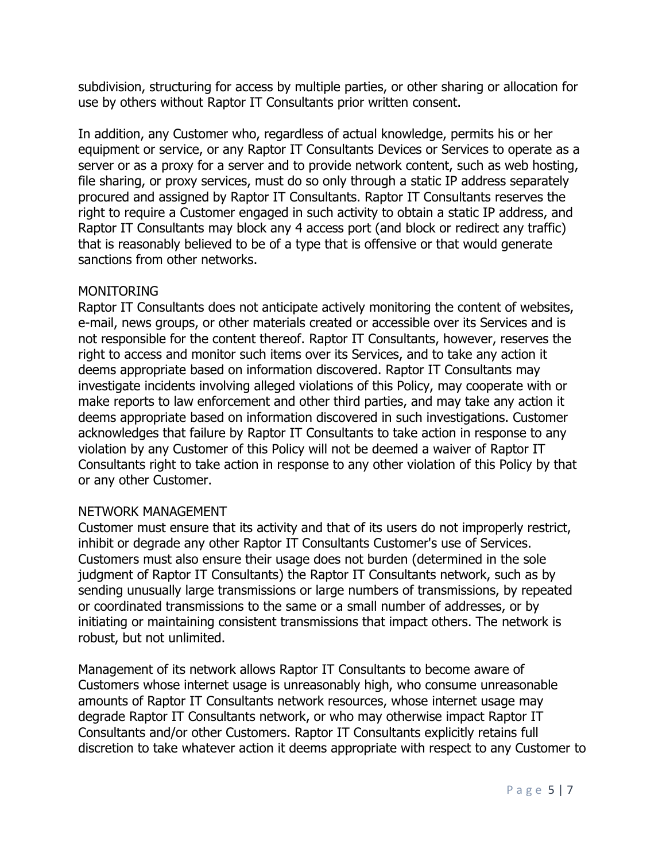subdivision, structuring for access by multiple parties, or other sharing or allocation for use by others without Raptor IT Consultants prior written consent.

In addition, any Customer who, regardless of actual knowledge, permits his or her equipment or service, or any Raptor IT Consultants Devices or Services to operate as a server or as a proxy for a server and to provide network content, such as web hosting, file sharing, or proxy services, must do so only through a static IP address separately procured and assigned by Raptor IT Consultants. Raptor IT Consultants reserves the right to require a Customer engaged in such activity to obtain a static IP address, and Raptor IT Consultants may block any 4 access port (and block or redirect any traffic) that is reasonably believed to be of a type that is offensive or that would generate sanctions from other networks.

#### **MONITORING**

Raptor IT Consultants does not anticipate actively monitoring the content of websites, e-mail, news groups, or other materials created or accessible over its Services and is not responsible for the content thereof. Raptor IT Consultants, however, reserves the right to access and monitor such items over its Services, and to take any action it deems appropriate based on information discovered. Raptor IT Consultants may investigate incidents involving alleged violations of this Policy, may cooperate with or make reports to law enforcement and other third parties, and may take any action it deems appropriate based on information discovered in such investigations. Customer acknowledges that failure by Raptor IT Consultants to take action in response to any violation by any Customer of this Policy will not be deemed a waiver of Raptor IT Consultants right to take action in response to any other violation of this Policy by that or any other Customer.

## NETWORK MANAGEMENT

Customer must ensure that its activity and that of its users do not improperly restrict, inhibit or degrade any other Raptor IT Consultants Customer's use of Services. Customers must also ensure their usage does not burden (determined in the sole judgment of Raptor IT Consultants) the Raptor IT Consultants network, such as by sending unusually large transmissions or large numbers of transmissions, by repeated or coordinated transmissions to the same or a small number of addresses, or by initiating or maintaining consistent transmissions that impact others. The network is robust, but not unlimited.

Management of its network allows Raptor IT Consultants to become aware of Customers whose internet usage is unreasonably high, who consume unreasonable amounts of Raptor IT Consultants network resources, whose internet usage may degrade Raptor IT Consultants network, or who may otherwise impact Raptor IT Consultants and/or other Customers. Raptor IT Consultants explicitly retains full discretion to take whatever action it deems appropriate with respect to any Customer to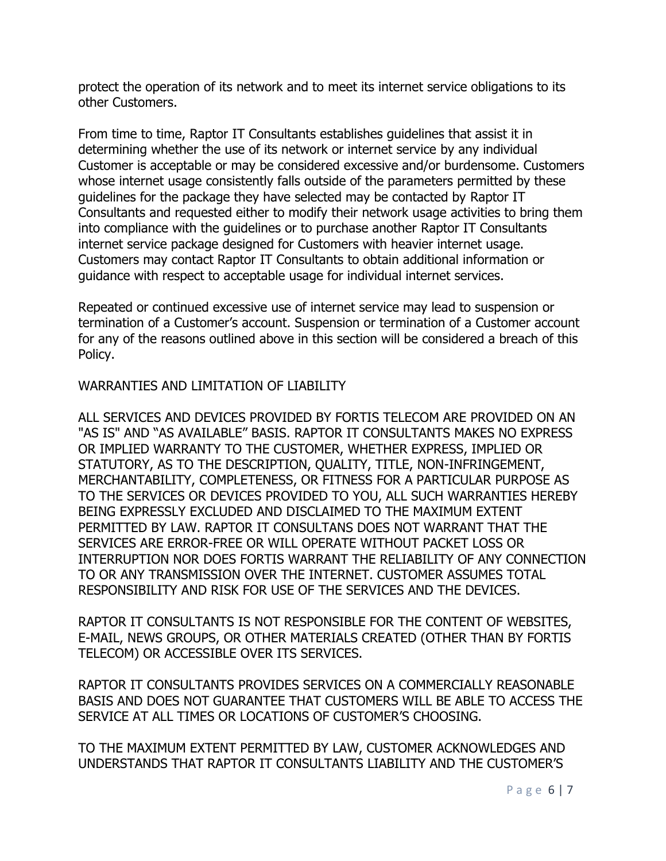protect the operation of its network and to meet its internet service obligations to its other Customers.

From time to time, Raptor IT Consultants establishes guidelines that assist it in determining whether the use of its network or internet service by any individual Customer is acceptable or may be considered excessive and/or burdensome. Customers whose internet usage consistently falls outside of the parameters permitted by these guidelines for the package they have selected may be contacted by Raptor IT Consultants and requested either to modify their network usage activities to bring them into compliance with the guidelines or to purchase another Raptor IT Consultants internet service package designed for Customers with heavier internet usage. Customers may contact Raptor IT Consultants to obtain additional information or guidance with respect to acceptable usage for individual internet services.

Repeated or continued excessive use of internet service may lead to suspension or termination of a Customer's account. Suspension or termination of a Customer account for any of the reasons outlined above in this section will be considered a breach of this Policy.

### WARRANTIES AND LIMITATION OF LIABILITY

ALL SERVICES AND DEVICES PROVIDED BY FORTIS TELECOM ARE PROVIDED ON AN "AS IS" AND "AS AVAILABLE" BASIS. RAPTOR IT CONSULTANTS MAKES NO EXPRESS OR IMPLIED WARRANTY TO THE CUSTOMER, WHETHER EXPRESS, IMPLIED OR STATUTORY, AS TO THE DESCRIPTION, QUALITY, TITLE, NON-INFRINGEMENT, MERCHANTABILITY, COMPLETENESS, OR FITNESS FOR A PARTICULAR PURPOSE AS TO THE SERVICES OR DEVICES PROVIDED TO YOU, ALL SUCH WARRANTIES HEREBY BEING EXPRESSLY EXCLUDED AND DISCLAIMED TO THE MAXIMUM EXTENT PERMITTED BY LAW. RAPTOR IT CONSULTANS DOES NOT WARRANT THAT THE SERVICES ARE ERROR-FREE OR WILL OPERATE WITHOUT PACKET LOSS OR INTERRUPTION NOR DOES FORTIS WARRANT THE RELIABILITY OF ANY CONNECTION TO OR ANY TRANSMISSION OVER THE INTERNET. CUSTOMER ASSUMES TOTAL RESPONSIBILITY AND RISK FOR USE OF THE SERVICES AND THE DEVICES.

RAPTOR IT CONSULTANTS IS NOT RESPONSIBLE FOR THE CONTENT OF WEBSITES, E-MAIL, NEWS GROUPS, OR OTHER MATERIALS CREATED (OTHER THAN BY FORTIS TELECOM) OR ACCESSIBLE OVER ITS SERVICES.

RAPTOR IT CONSULTANTS PROVIDES SERVICES ON A COMMERCIALLY REASONABLE BASIS AND DOES NOT GUARANTEE THAT CUSTOMERS WILL BE ABLE TO ACCESS THE SERVICE AT ALL TIMES OR LOCATIONS OF CUSTOMER'S CHOOSING.

TO THE MAXIMUM EXTENT PERMITTED BY LAW, CUSTOMER ACKNOWLEDGES AND UNDERSTANDS THAT RAPTOR IT CONSULTANTS LIABILITY AND THE CUSTOMER'S